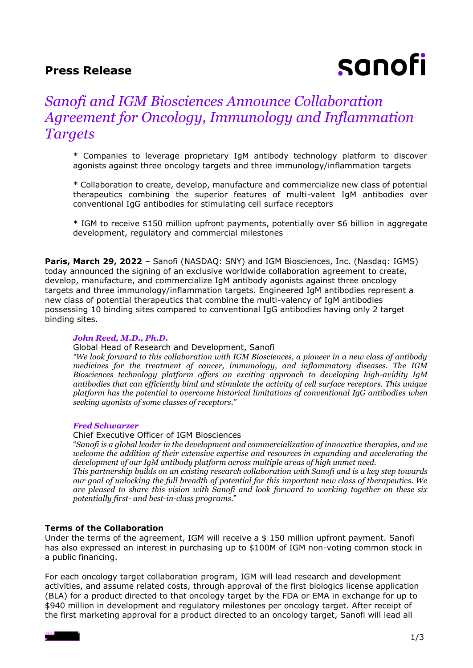# **Press Release**



# *Sanofi and IGM Biosciences Announce Collaboration Agreement for Oncology, Immunology and Inflammation Targets*

\* Companies to leverage proprietary IgM antibody technology platform to discover agonists against three oncology targets and three immunology/inflammation targets

\* Collaboration to create, develop, manufacture and commercialize new class of potential therapeutics combining the superior features of multi-valent IgM antibodies over conventional IgG antibodies for stimulating cell surface receptors

\* IGM to receive \$150 million upfront payments, potentially over \$6 billion in aggregate development, regulatory and commercial milestones

**Paris, March 29, 2022** - Sanofi (NASDAQ: SNY) and IGM Biosciences, Inc. (Nasdaq: IGMS) today announced the signing of an exclusive worldwide collaboration agreement to create, develop, manufacture, and commercialize IgM antibody agonists against three oncology targets and three immunology/inflammation targets. Engineered IgM antibodies represent a new class of potential therapeutics that combine the multi-valency of IgM antibodies possessing 10 binding sites compared to conventional IgG antibodies having only 2 target binding sites.

# *John Reed, M.D., Ph.D.*

# Global Head of Research and Development, Sanofi

*"We look forward to this collaboration with IGM Biosciences, a pioneer in a new class of antibody medicines for the treatment of cancer, immunology, and inflammatory diseases. The IGM Biosciences technology platform offers an exciting approach to developing high-avidity IgM antibodies that can efficiently bind and stimulate the activity of cell surface receptors. This unique platform has the potential to overcome historical limitations of conventional IgG antibodies when seeking agonists of some classes of receptors."*

# *Fred Schwarzer*

## Chief Executive Officer of IGM Biosciences

"*Sanofi is a global leader in the development and commercialization of innovative therapies, and we welcome the addition of their extensive expertise and resources in expanding and accelerating the development of our IgM antibody platform across multiple areas of high unmet need.* 

*This partnership builds on an existing research collaboration with Sanofi and is a key step towards our goal of unlocking the full breadth of potential for this important new class of therapeutics. We are pleased to share this vision with Sanofi and look forward to working together on these six potentially first- and best-in-class programs*."

# **Terms of the Collaboration**

Under the terms of the agreement, IGM will receive a \$ 150 million upfront payment. Sanofi has also expressed an interest in purchasing up to \$100M of IGM non-voting common stock in a public financing.

For each oncology target collaboration program, IGM will lead research and development activities, and assume related costs, through approval of the first biologics license application (BLA) for a product directed to that oncology target by the FDA or EMA in exchange for up to \$940 million in development and regulatory milestones per oncology target. After receipt of the first marketing approval for a product directed to an oncology target, Sanofi will lead all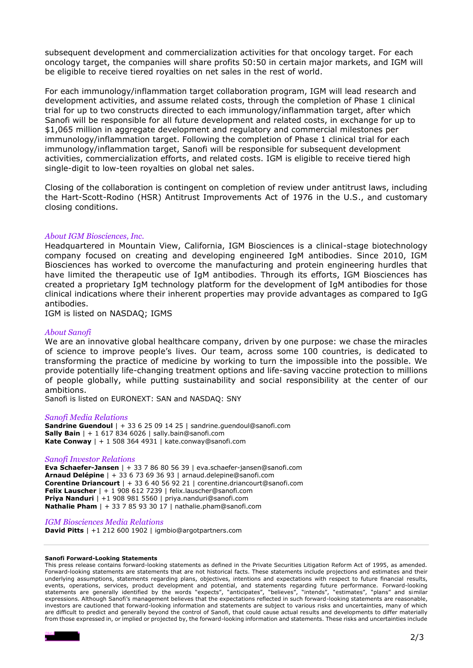subsequent development and commercialization activities for that oncology target. For each oncology target, the companies will share profits 50:50 in certain major markets, and IGM will be eligible to receive tiered royalties on net sales in the rest of world.

For each immunology/inflammation target collaboration program, IGM will lead research and development activities, and assume related costs, through the completion of Phase 1 clinical trial for up to two constructs directed to each immunology/inflammation target, after which Sanofi will be responsible for all future development and related costs, in exchange for up to \$1,065 million in aggregate development and regulatory and commercial milestones per immunology/inflammation target. Following the completion of Phase 1 clinical trial for each immunology/inflammation target, Sanofi will be responsible for subsequent development activities, commercialization efforts, and related costs. IGM is eligible to receive tiered high single-digit to low-teen royalties on global net sales.

Closing of the collaboration is contingent on completion of review under antitrust laws, including the Hart-Scott-Rodino (HSR) Antitrust Improvements Act of 1976 in the U.S., and customary closing conditions.

# *About IGM Biosciences, Inc.*

Headquartered in Mountain View, California, IGM Biosciences is a clinical-stage biotechnology company focused on creating and developing engineered IgM antibodies. Since 2010, IGM Biosciences has worked to overcome the manufacturing and protein engineering hurdles that have limited the therapeutic use of IgM antibodies. Through its efforts, IGM Biosciences has created a proprietary IgM technology platform for the development of IgM antibodies for those clinical indications where their inherent properties may provide advantages as compared to IgG antibodies.

IGM is listed on NASDAQ; IGMS

## *About Sanofi*

We are an innovative global healthcare company, driven by one purpose: we chase the miracles of science to improve people's lives. Our team, across some 100 countries, is dedicated to transforming the practice of medicine by working to turn the impossible into the possible. We provide potentially life-changing treatment options and life-saving vaccine protection to millions of people globally, while putting sustainability and social responsibility at the center of our ambitions.

Sanofi is listed on EURONEXT: SAN and NASDAQ: SNY

#### *Sanofi Media Relations*

**Sandrine Guendoul** | + 33 6 25 09 14 25 | [sandrine.guendoul@sanofi.com](mailto:sandrine.guendoul@sanofi.com) **Sally Bain** | + 1 617 834 6026 | [sally.bain@sanofi.com](mailto:sally.bain@sanofi.com) **Kate Conway** | + 1 508 364 4931 | kate.conway@sanofi.com

#### *Sanofi Investor Relations*

**Eva Schaefer-Jansen** | + 33 7 86 80 56 39 | [eva.schaefer-jansen@sanofi.com](mailto:eva.schaefer-jansen@sanofi.com) **Arnaud Delépine** | + 33 6 73 69 36 93 | [arnaud.delepine@sanofi.com](mailto:arnaud.delepine@sanofi.com) **Corentine Driancourt** | + 33 6 40 56 92 21 | [corentine.driancourt@sanofi.com](mailto:corentine.driancourt@sanofi.com) **Felix Lauscher** | + 1 908 612 7239 | [felix.lauscher@sanofi.com](mailto:felix.lauscher@sanofi.com) **Priya Nanduri** | +1 908 981 5560 | [priya.nanduri@sanofi.com](mailto:priya.nanduri@sanofi.com) **Nathalie Pham** | + 33 7 85 93 30 17 | [nathalie.pham@sanofi.com](mailto:nathalie.pham@sanofi.com)

#### *IGM Biosciences Media Relations*

**David Pitts** | +1 212 600 1902 | [igmbio@argotpartners.com](mailto:igmbio@argotpartners.com)

#### **Sanofi Forward-Looking Statements**

This press release contains forward-looking statements as defined in the Private Securities Litigation Reform Act of 1995, as amended. Forward-looking statements are statements that are not historical facts. These statements include projections and estimates and their underlying assumptions, statements regarding plans, objectives, intentions and expectations with respect to future financial results, events, operations, services, product development and potential, and statements regarding future performance. Forward-looking statements are generally identified by the words "expects", "anticipates", "believes", "intends", "estimates", "plans" and similar expressions. Although Sanofi's management believes that the expectations reflected in such forward-looking statements are reasonable, investors are cautioned that forward-looking information and statements are subject to various risks and uncertainties, many of which are difficult to predict and generally beyond the control of Sanofi, that could cause actual results and developments to differ materially from those expressed in, or implied or projected by, the forward-looking information and statements. These risks and uncertainties include